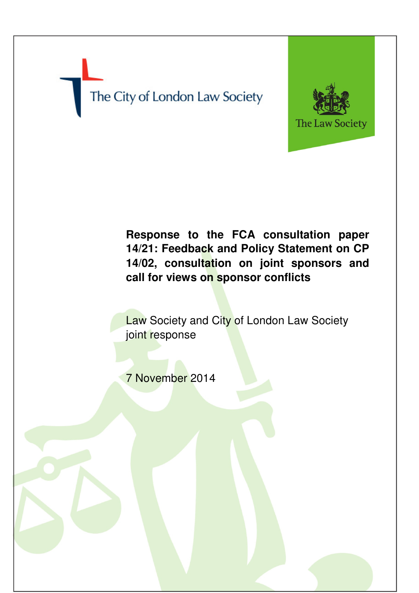# The City of London Law Society



# **Response to the FCA consultation paper 14/21: Feedback and Policy Statement on CP 14/02, consultation on joint sponsors and call for views on sponsor conflicts**

**Law Society and City of London Law Society** joint response

7 November 2014